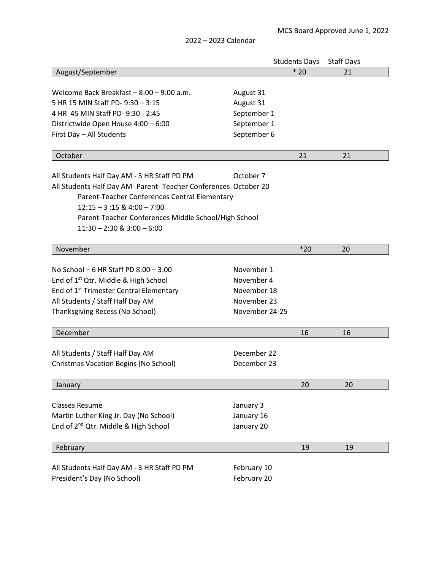|  | 2022 - 2023 Calendar |
|--|----------------------|
|  |                      |

|                                                                  |                | <b>Students Days</b> | <b>Staff Days</b> |  |  |
|------------------------------------------------------------------|----------------|----------------------|-------------------|--|--|
| August/September                                                 |                | $*20$                | 21                |  |  |
|                                                                  |                |                      |                   |  |  |
| Welcome Back Breakfast - 8:00 - 9:00 a.m.                        | August 31      |                      |                   |  |  |
| 5 HR 15 MIN Staff PD- 9:30 - 3:15                                | August 31      |                      |                   |  |  |
| 4 HR 45 MIN Staff PD- 9:30 - 2:45                                | September 1    |                      |                   |  |  |
| Districtwide Open House 4:00 - 6:00                              | September 1    |                      |                   |  |  |
| First Day - All Students                                         | September 6    |                      |                   |  |  |
| October                                                          |                | 21                   | 21                |  |  |
|                                                                  |                |                      |                   |  |  |
| All Students Half Day AM - 3 HR Staff PD PM                      | October 7      |                      |                   |  |  |
| All Students Half Day AM- Parent- Teacher Conferences October 20 |                |                      |                   |  |  |
| Parent-Teacher Conferences Central Elementary                    |                |                      |                   |  |  |
| $12:15 - 3:15 \& 4:00 - 7:00$                                    |                |                      |                   |  |  |
| Parent-Teacher Conferences Middle School/High School             |                |                      |                   |  |  |
| $11:30 - 2:30$ & $3:00 - 6:00$                                   |                |                      |                   |  |  |
| November                                                         |                | $*20$                | 20                |  |  |
|                                                                  |                |                      |                   |  |  |
| No School $-6$ HR Staff PD $8:00 - 3:00$                         | November 1     |                      |                   |  |  |
| End of 1 <sup>st</sup> Qtr. Middle & High School                 | November 4     |                      |                   |  |  |
| End of 1 <sup>st</sup> Trimester Central Elementary              | November 18    |                      |                   |  |  |
| All Students / Staff Half Day AM                                 | November 23    |                      |                   |  |  |
| Thanksgiving Recess (No School)                                  | November 24-25 |                      |                   |  |  |
|                                                                  |                |                      |                   |  |  |
| December                                                         |                | 16                   | 16                |  |  |
| All Students / Staff Half Day AM                                 | December 22    |                      |                   |  |  |
|                                                                  |                |                      |                   |  |  |
| Christmas Vacation Begins (No School)                            | December 23    |                      |                   |  |  |
| January                                                          |                | 20                   | 20                |  |  |
|                                                                  |                |                      |                   |  |  |
| <b>Classes Resume</b>                                            | January 3      |                      |                   |  |  |
| Martin Luther King Jr. Day (No School)                           | January 16     |                      |                   |  |  |
| End of 2 <sup>nd</sup> Qtr. Middle & High School                 | January 20     |                      |                   |  |  |
| February                                                         |                | 19                   | 19                |  |  |
|                                                                  |                |                      |                   |  |  |
| All Students Half Day AM - 3 HR Staff PD PM                      | February 10    |                      |                   |  |  |
| President's Day (No School)                                      | February 20    |                      |                   |  |  |